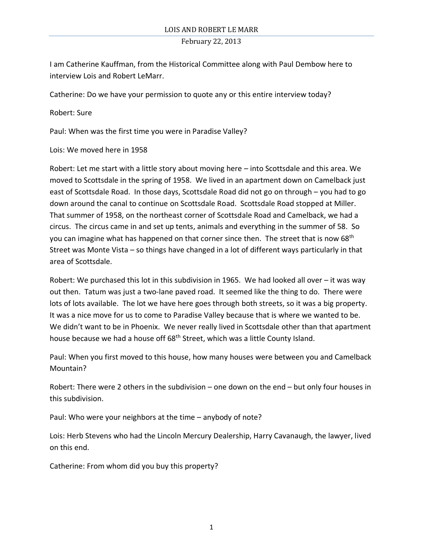I am Catherine Kauffman, from the Historical Committee along with Paul Dembow here to interview Lois and Robert LeMarr.

Catherine: Do we have your permission to quote any or this entire interview today?

Robert: Sure

Paul: When was the first time you were in Paradise Valley?

Lois: We moved here in 1958

Robert: Let me start with a little story about moving here – into Scottsdale and this area. We moved to Scottsdale in the spring of 1958. We lived in an apartment down on Camelback just east of Scottsdale Road. In those days, Scottsdale Road did not go on through – you had to go down around the canal to continue on Scottsdale Road. Scottsdale Road stopped at Miller. That summer of 1958, on the northeast corner of Scottsdale Road and Camelback, we had a circus. The circus came in and set up tents, animals and everything in the summer of 58. So you can imagine what has happened on that corner since then. The street that is now 68<sup>th</sup> Street was Monte Vista – so things have changed in a lot of different ways particularly in that area of Scottsdale.

Robert: We purchased this lot in this subdivision in 1965. We had looked all over – it was way out then. Tatum was just a two-lane paved road. It seemed like the thing to do. There were lots of lots available. The lot we have here goes through both streets, so it was a big property. It was a nice move for us to come to Paradise Valley because that is where we wanted to be. We didn't want to be in Phoenix. We never really lived in Scottsdale other than that apartment house because we had a house off 68<sup>th</sup> Street, which was a little County Island.

Paul: When you first moved to this house, how many houses were between you and Camelback Mountain?

Robert: There were 2 others in the subdivision – one down on the end – but only four houses in this subdivision.

Paul: Who were your neighbors at the time – anybody of note?

Lois: Herb Stevens who had the Lincoln Mercury Dealership, Harry Cavanaugh, the lawyer, lived on this end.

Catherine: From whom did you buy this property?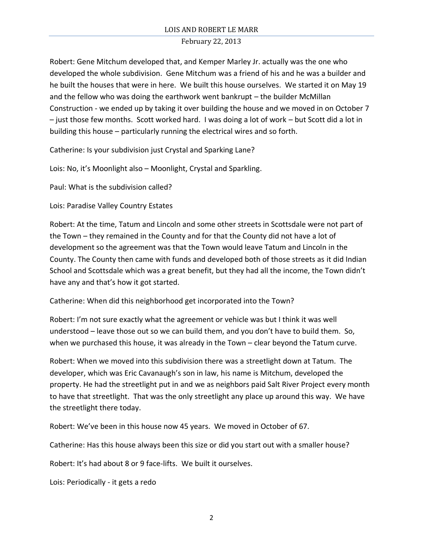Robert: Gene Mitchum developed that, and Kemper Marley Jr. actually was the one who developed the whole subdivision. Gene Mitchum was a friend of his and he was a builder and he built the houses that were in here. We built this house ourselves. We started it on May 19 and the fellow who was doing the earthwork went bankrupt – the builder McMillan Construction - we ended up by taking it over building the house and we moved in on October 7 – just those few months. Scott worked hard. I was doing a lot of work – but Scott did a lot in building this house – particularly running the electrical wires and so forth.

Catherine: Is your subdivision just Crystal and Sparking Lane?

Lois: No, it's Moonlight also – Moonlight, Crystal and Sparkling.

Paul: What is the subdivision called?

Lois: Paradise Valley Country Estates

Robert: At the time, Tatum and Lincoln and some other streets in Scottsdale were not part of the Town – they remained in the County and for that the County did not have a lot of development so the agreement was that the Town would leave Tatum and Lincoln in the County. The County then came with funds and developed both of those streets as it did Indian School and Scottsdale which was a great benefit, but they had all the income, the Town didn't have any and that's how it got started.

Catherine: When did this neighborhood get incorporated into the Town?

Robert: I'm not sure exactly what the agreement or vehicle was but I think it was well understood – leave those out so we can build them, and you don't have to build them. So, when we purchased this house, it was already in the Town – clear beyond the Tatum curve.

Robert: When we moved into this subdivision there was a streetlight down at Tatum. The developer, which was Eric Cavanaugh's son in law, his name is Mitchum, developed the property. He had the streetlight put in and we as neighbors paid Salt River Project every month to have that streetlight. That was the only streetlight any place up around this way. We have the streetlight there today.

Robert: We've been in this house now 45 years. We moved in October of 67.

Catherine: Has this house always been this size or did you start out with a smaller house?

Robert: It's had about 8 or 9 face-lifts. We built it ourselves.

Lois: Periodically - it gets a redo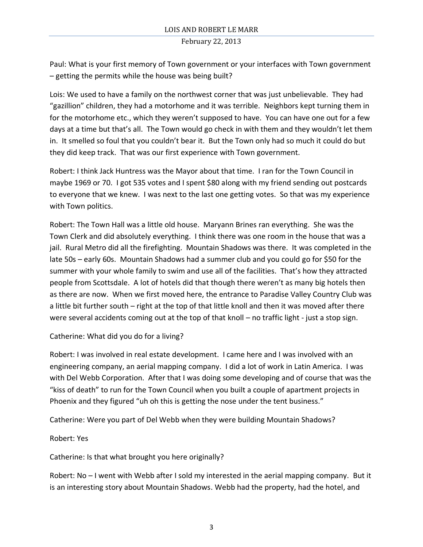Paul: What is your first memory of Town government or your interfaces with Town government – getting the permits while the house was being built?

Lois: We used to have a family on the northwest corner that was just unbelievable. They had "gazillion" children, they had a motorhome and it was terrible. Neighbors kept turning them in for the motorhome etc., which they weren't supposed to have. You can have one out for a few days at a time but that's all. The Town would go check in with them and they wouldn't let them in. It smelled so foul that you couldn't bear it. But the Town only had so much it could do but they did keep track. That was our first experience with Town government.

Robert: I think Jack Huntress was the Mayor about that time. I ran for the Town Council in maybe 1969 or 70. I got 535 votes and I spent \$80 along with my friend sending out postcards to everyone that we knew. I was next to the last one getting votes. So that was my experience with Town politics.

Robert: The Town Hall was a little old house. Maryann Brines ran everything. She was the Town Clerk and did absolutely everything. I think there was one room in the house that was a jail. Rural Metro did all the firefighting. Mountain Shadows was there. It was completed in the late 50s – early 60s. Mountain Shadows had a summer club and you could go for \$50 for the summer with your whole family to swim and use all of the facilities. That's how they attracted people from Scottsdale. A lot of hotels did that though there weren't as many big hotels then as there are now. When we first moved here, the entrance to Paradise Valley Country Club was a little bit further south – right at the top of that little knoll and then it was moved after there were several accidents coming out at the top of that knoll – no traffic light - just a stop sign.

Catherine: What did you do for a living?

Robert: I was involved in real estate development. I came here and I was involved with an engineering company, an aerial mapping company. I did a lot of work in Latin America. I was with Del Webb Corporation. After that I was doing some developing and of course that was the "kiss of death" to run for the Town Council when you built a couple of apartment projects in Phoenix and they figured "uh oh this is getting the nose under the tent business."

Catherine: Were you part of Del Webb when they were building Mountain Shadows?

Robert: Yes

Catherine: Is that what brought you here originally?

Robert: No – I went with Webb after I sold my interested in the aerial mapping company. But it is an interesting story about Mountain Shadows. Webb had the property, had the hotel, and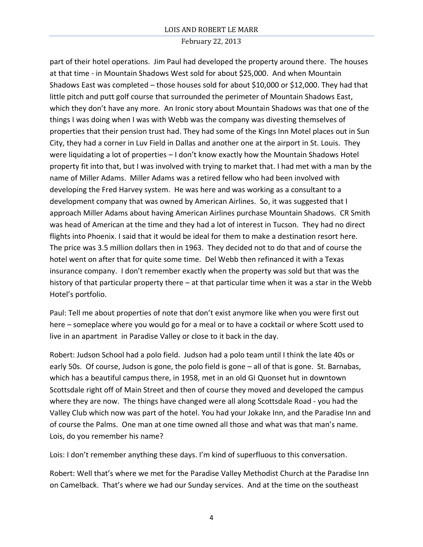part of their hotel operations. Jim Paul had developed the property around there. The houses at that time - in Mountain Shadows West sold for about \$25,000. And when Mountain Shadows East was completed – those houses sold for about \$10,000 or \$12,000. They had that little pitch and putt golf course that surrounded the perimeter of Mountain Shadows East, which they don't have any more. An Ironic story about Mountain Shadows was that one of the things I was doing when I was with Webb was the company was divesting themselves of properties that their pension trust had. They had some of the Kings Inn Motel places out in Sun City, they had a corner in Luv Field in Dallas and another one at the airport in St. Louis. They were liquidating a lot of properties – I don't know exactly how the Mountain Shadows Hotel property fit into that, but I was involved with trying to market that. I had met with a man by the name of Miller Adams. Miller Adams was a retired fellow who had been involved with developing the Fred Harvey system. He was here and was working as a consultant to a development company that was owned by American Airlines. So, it was suggested that I approach Miller Adams about having American Airlines purchase Mountain Shadows. CR Smith was head of American at the time and they had a lot of interest in Tucson. They had no direct flights into Phoenix. I said that it would be ideal for them to make a destination resort here. The price was 3.5 million dollars then in 1963. They decided not to do that and of course the hotel went on after that for quite some time. Del Webb then refinanced it with a Texas insurance company. I don't remember exactly when the property was sold but that was the history of that particular property there – at that particular time when it was a star in the Webb Hotel's portfolio.

Paul: Tell me about properties of note that don't exist anymore like when you were first out here – someplace where you would go for a meal or to have a cocktail or where Scott used to live in an apartment in Paradise Valley or close to it back in the day.

Robert: Judson School had a polo field. Judson had a polo team until I think the late 40s or early 50s. Of course, Judson is gone, the polo field is gone – all of that is gone. St. Barnabas, which has a beautiful campus there, in 1958, met in an old GI Quonset hut in downtown Scottsdale right off of Main Street and then of course they moved and developed the campus where they are now. The things have changed were all along Scottsdale Road - you had the Valley Club which now was part of the hotel. You had your Jokake Inn, and the Paradise Inn and of course the Palms. One man at one time owned all those and what was that man's name. Lois, do you remember his name?

Lois: I don't remember anything these days. I'm kind of superfluous to this conversation.

Robert: Well that's where we met for the Paradise Valley Methodist Church at the Paradise Inn on Camelback. That's where we had our Sunday services. And at the time on the southeast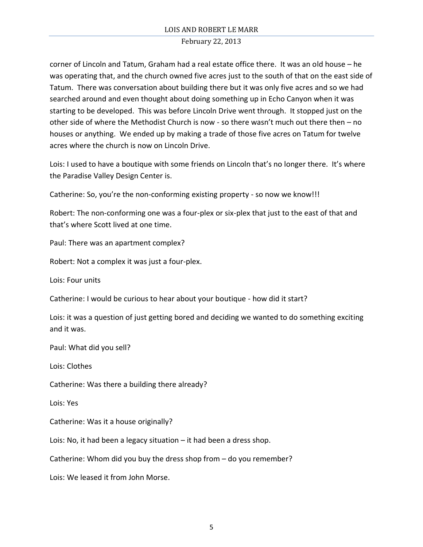corner of Lincoln and Tatum, Graham had a real estate office there. It was an old house – he was operating that, and the church owned five acres just to the south of that on the east side of Tatum. There was conversation about building there but it was only five acres and so we had searched around and even thought about doing something up in Echo Canyon when it was starting to be developed. This was before Lincoln Drive went through. It stopped just on the other side of where the Methodist Church is now - so there wasn't much out there then – no houses or anything. We ended up by making a trade of those five acres on Tatum for twelve acres where the church is now on Lincoln Drive.

Lois: I used to have a boutique with some friends on Lincoln that's no longer there. It's where the Paradise Valley Design Center is.

Catherine: So, you're the non-conforming existing property - so now we know!!!

Robert: The non-conforming one was a four-plex or six-plex that just to the east of that and that's where Scott lived at one time.

Paul: There was an apartment complex?

Robert: Not a complex it was just a four-plex.

Lois: Four units

Catherine: I would be curious to hear about your boutique - how did it start?

Lois: it was a question of just getting bored and deciding we wanted to do something exciting and it was.

Paul: What did you sell?

Lois: Clothes

Catherine: Was there a building there already?

Lois: Yes

Catherine: Was it a house originally?

Lois: No, it had been a legacy situation – it had been a dress shop.

Catherine: Whom did you buy the dress shop from – do you remember?

Lois: We leased it from John Morse.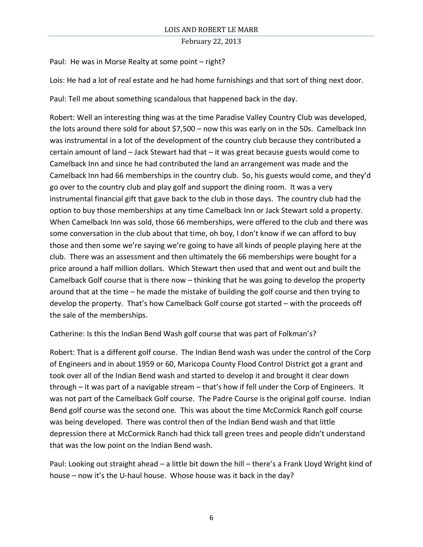Paul: He was in Morse Realty at some point – right?

Lois: He had a lot of real estate and he had home furnishings and that sort of thing next door.

Paul: Tell me about something scandalous that happened back in the day.

Robert: Well an interesting thing was at the time Paradise Valley Country Club was developed, the lots around there sold for about \$7,500 – now this was early on in the 50s. Camelback Inn was instrumental in a lot of the development of the country club because they contributed a certain amount of land – Jack Stewart had that – it was great because guests would come to Camelback Inn and since he had contributed the land an arrangement was made and the Camelback Inn had 66 memberships in the country club. So, his guests would come, and they'd go over to the country club and play golf and support the dining room. It was a very instrumental financial gift that gave back to the club in those days. The country club had the option to buy those memberships at any time Camelback Inn or Jack Stewart sold a property. When Camelback Inn was sold, those 66 memberships, were offered to the club and there was some conversation in the club about that time, oh boy, I don't know if we can afford to buy those and then some we're saying we're going to have all kinds of people playing here at the club. There was an assessment and then ultimately the 66 memberships were bought for a price around a half million dollars. Which Stewart then used that and went out and built the Camelback Golf course that is there now – thinking that he was going to develop the property around that at the time – he made the mistake of building the golf course and then trying to develop the property. That's how Camelback Golf course got started – with the proceeds off the sale of the memberships.

Catherine: Is this the Indian Bend Wash golf course that was part of Folkman's?

Robert: That is a different golf course. The Indian Bend wash was under the control of the Corp of Engineers and in about 1959 or 60, Maricopa County Flood Control District got a grant and took over all of the Indian Bend wash and started to develop it and brought it clear down through – it was part of a navigable stream – that's how if fell under the Corp of Engineers. It was not part of the Camelback Golf course. The Padre Course is the original golf course. Indian Bend golf course was the second one. This was about the time McCormick Ranch golf course was being developed. There was control then of the Indian Bend wash and that little depression there at McCormick Ranch had thick tall green trees and people didn't understand that was the low point on the Indian Bend wash.

Paul: Looking out straight ahead – a little bit down the hill – there's a Frank Lloyd Wright kind of house – now it's the U-haul house. Whose house was it back in the day?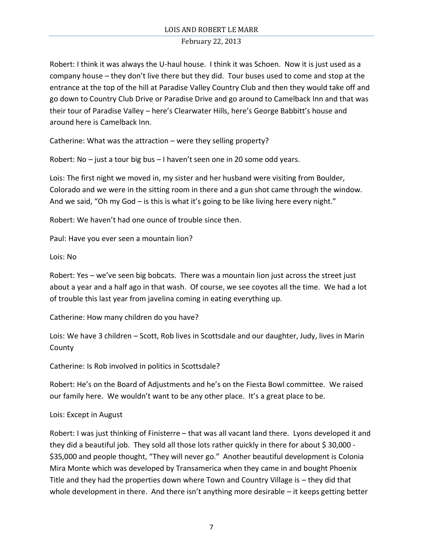Robert: I think it was always the U-haul house. I think it was Schoen. Now it is just used as a company house – they don't live there but they did. Tour buses used to come and stop at the entrance at the top of the hill at Paradise Valley Country Club and then they would take off and go down to Country Club Drive or Paradise Drive and go around to Camelback Inn and that was their tour of Paradise Valley – here's Clearwater Hills, here's George Babbitt's house and around here is Camelback Inn.

Catherine: What was the attraction – were they selling property?

Robert: No – just a tour big bus – I haven't seen one in 20 some odd years.

Lois: The first night we moved in, my sister and her husband were visiting from Boulder, Colorado and we were in the sitting room in there and a gun shot came through the window. And we said, "Oh my God – is this is what it's going to be like living here every night."

Robert: We haven't had one ounce of trouble since then.

Paul: Have you ever seen a mountain lion?

Lois: No

Robert: Yes – we've seen big bobcats. There was a mountain lion just across the street just about a year and a half ago in that wash. Of course, we see coyotes all the time. We had a lot of trouble this last year from javelina coming in eating everything up.

Catherine: How many children do you have?

Lois: We have 3 children – Scott, Rob lives in Scottsdale and our daughter, Judy, lives in Marin County

Catherine: Is Rob involved in politics in Scottsdale?

Robert: He's on the Board of Adjustments and he's on the Fiesta Bowl committee. We raised our family here. We wouldn't want to be any other place. It's a great place to be.

# Lois: Except in August

Robert: I was just thinking of Finisterre – that was all vacant land there. Lyons developed it and they did a beautiful job. They sold all those lots rather quickly in there for about \$ 30,000 - \$35,000 and people thought, "They will never go." Another beautiful development is Colonia Mira Monte which was developed by Transamerica when they came in and bought Phoenix Title and they had the properties down where Town and Country Village is – they did that whole development in there. And there isn't anything more desirable – it keeps getting better